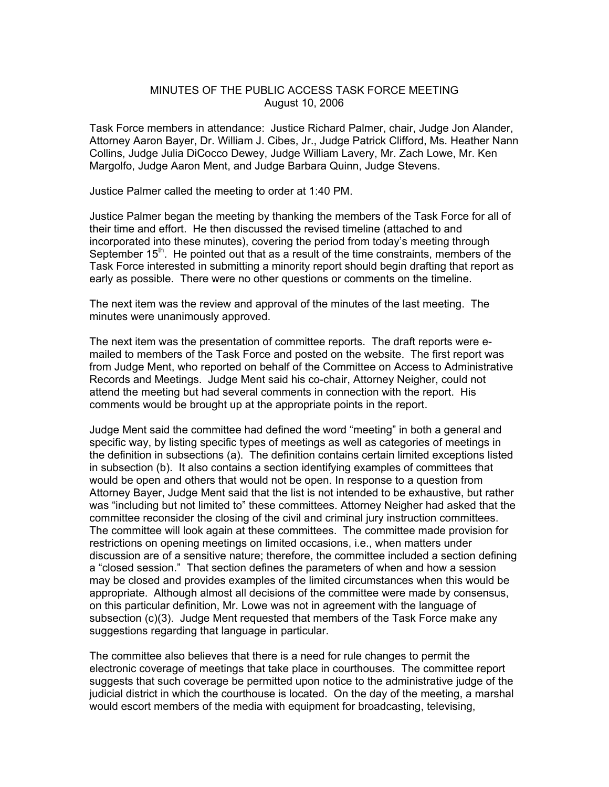## MINUTES OF THE PUBLIC ACCESS TASK FORCE MEETING August 10, 2006

Task Force members in attendance: Justice Richard Palmer, chair, Judge Jon Alander, Attorney Aaron Bayer, Dr. William J. Cibes, Jr., Judge Patrick Clifford, Ms. Heather Nann Collins, Judge Julia DiCocco Dewey, Judge William Lavery, Mr. Zach Lowe, Mr. Ken Margolfo, Judge Aaron Ment, and Judge Barbara Quinn, Judge Stevens.

Justice Palmer called the meeting to order at 1:40 PM.

Justice Palmer began the meeting by thanking the members of the Task Force for all of their time and effort. He then discussed the revised timeline (attached to and incorporated into these minutes), covering the period from today's meeting through September  $15<sup>th</sup>$ . He pointed out that as a result of the time constraints, members of the Task Force interested in submitting a minority report should begin drafting that report as early as possible. There were no other questions or comments on the timeline.

The next item was the review and approval of the minutes of the last meeting. The minutes were unanimously approved.

The next item was the presentation of committee reports. The draft reports were emailed to members of the Task Force and posted on the website. The first report was from Judge Ment, who reported on behalf of the Committee on Access to Administrative Records and Meetings. Judge Ment said his co-chair, Attorney Neigher, could not attend the meeting but had several comments in connection with the report. His comments would be brought up at the appropriate points in the report.

Judge Ment said the committee had defined the word "meeting" in both a general and specific way, by listing specific types of meetings as well as categories of meetings in the definition in subsections (a). The definition contains certain limited exceptions listed in subsection (b). It also contains a section identifying examples of committees that would be open and others that would not be open. In response to a question from Attorney Bayer, Judge Ment said that the list is not intended to be exhaustive, but rather was "including but not limited to" these committees. Attorney Neigher had asked that the committee reconsider the closing of the civil and criminal jury instruction committees. The committee will look again at these committees. The committee made provision for restrictions on opening meetings on limited occasions, i.e., when matters under discussion are of a sensitive nature; therefore, the committee included a section defining a "closed session." That section defines the parameters of when and how a session may be closed and provides examples of the limited circumstances when this would be appropriate. Although almost all decisions of the committee were made by consensus, on this particular definition, Mr. Lowe was not in agreement with the language of subsection (c)(3). Judge Ment requested that members of the Task Force make any suggestions regarding that language in particular.

The committee also believes that there is a need for rule changes to permit the electronic coverage of meetings that take place in courthouses. The committee report suggests that such coverage be permitted upon notice to the administrative judge of the judicial district in which the courthouse is located. On the day of the meeting, a marshal would escort members of the media with equipment for broadcasting, televising,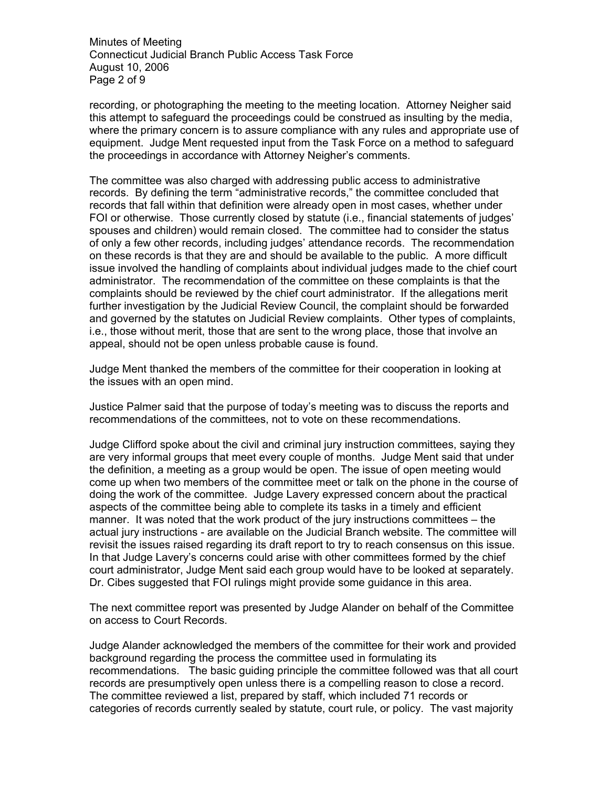Minutes of Meeting Connecticut Judicial Branch Public Access Task Force August 10, 2006 Page 2 of 9

recording, or photographing the meeting to the meeting location. Attorney Neigher said this attempt to safeguard the proceedings could be construed as insulting by the media, where the primary concern is to assure compliance with any rules and appropriate use of equipment. Judge Ment requested input from the Task Force on a method to safeguard the proceedings in accordance with Attorney Neigher's comments.

The committee was also charged with addressing public access to administrative records. By defining the term "administrative records," the committee concluded that records that fall within that definition were already open in most cases, whether under FOI or otherwise. Those currently closed by statute (i.e., financial statements of judges' spouses and children) would remain closed. The committee had to consider the status of only a few other records, including judges' attendance records. The recommendation on these records is that they are and should be available to the public. A more difficult issue involved the handling of complaints about individual judges made to the chief court administrator. The recommendation of the committee on these complaints is that the complaints should be reviewed by the chief court administrator. If the allegations merit further investigation by the Judicial Review Council, the complaint should be forwarded and governed by the statutes on Judicial Review complaints. Other types of complaints, i.e., those without merit, those that are sent to the wrong place, those that involve an appeal, should not be open unless probable cause is found.

Judge Ment thanked the members of the committee for their cooperation in looking at the issues with an open mind.

Justice Palmer said that the purpose of today's meeting was to discuss the reports and recommendations of the committees, not to vote on these recommendations.

Judge Clifford spoke about the civil and criminal jury instruction committees, saying they are very informal groups that meet every couple of months. Judge Ment said that under the definition, a meeting as a group would be open. The issue of open meeting would come up when two members of the committee meet or talk on the phone in the course of doing the work of the committee. Judge Lavery expressed concern about the practical aspects of the committee being able to complete its tasks in a timely and efficient manner. It was noted that the work product of the jury instructions committees – the actual jury instructions - are available on the Judicial Branch website. The committee will revisit the issues raised regarding its draft report to try to reach consensus on this issue. In that Judge Lavery's concerns could arise with other committees formed by the chief court administrator, Judge Ment said each group would have to be looked at separately. Dr. Cibes suggested that FOI rulings might provide some guidance in this area.

The next committee report was presented by Judge Alander on behalf of the Committee on access to Court Records.

Judge Alander acknowledged the members of the committee for their work and provided background regarding the process the committee used in formulating its recommendations. The basic guiding principle the committee followed was that all court records are presumptively open unless there is a compelling reason to close a record. The committee reviewed a list, prepared by staff, which included 71 records or categories of records currently sealed by statute, court rule, or policy. The vast majority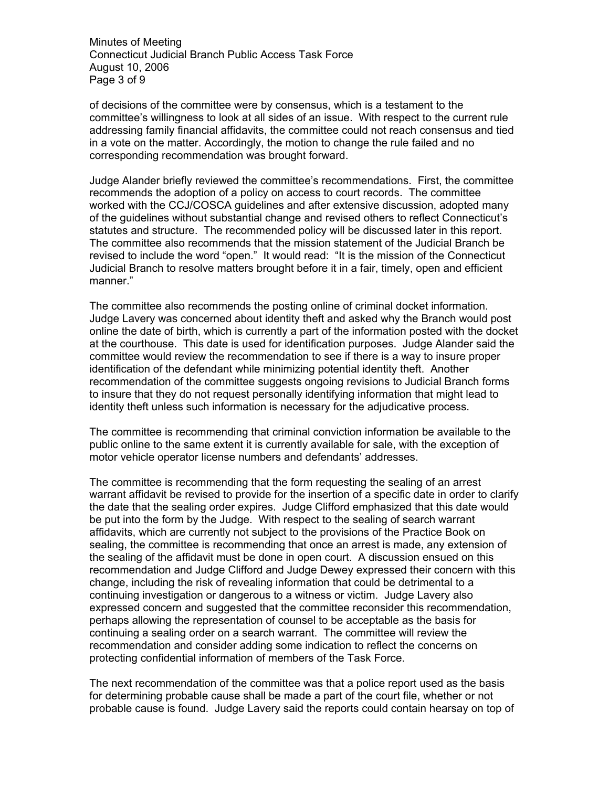Minutes of Meeting Connecticut Judicial Branch Public Access Task Force August 10, 2006 Page 3 of 9

of decisions of the committee were by consensus, which is a testament to the committee's willingness to look at all sides of an issue. With respect to the current rule addressing family financial affidavits, the committee could not reach consensus and tied in a vote on the matter. Accordingly, the motion to change the rule failed and no corresponding recommendation was brought forward.

Judge Alander briefly reviewed the committee's recommendations. First, the committee recommends the adoption of a policy on access to court records. The committee worked with the CCJ/COSCA guidelines and after extensive discussion, adopted many of the guidelines without substantial change and revised others to reflect Connecticut's statutes and structure. The recommended policy will be discussed later in this report. The committee also recommends that the mission statement of the Judicial Branch be revised to include the word "open." It would read: "It is the mission of the Connecticut Judicial Branch to resolve matters brought before it in a fair, timely, open and efficient manner."

The committee also recommends the posting online of criminal docket information. Judge Lavery was concerned about identity theft and asked why the Branch would post online the date of birth, which is currently a part of the information posted with the docket at the courthouse. This date is used for identification purposes. Judge Alander said the committee would review the recommendation to see if there is a way to insure proper identification of the defendant while minimizing potential identity theft. Another recommendation of the committee suggests ongoing revisions to Judicial Branch forms to insure that they do not request personally identifying information that might lead to identity theft unless such information is necessary for the adjudicative process.

The committee is recommending that criminal conviction information be available to the public online to the same extent it is currently available for sale, with the exception of motor vehicle operator license numbers and defendants' addresses.

The committee is recommending that the form requesting the sealing of an arrest warrant affidavit be revised to provide for the insertion of a specific date in order to clarify the date that the sealing order expires. Judge Clifford emphasized that this date would be put into the form by the Judge. With respect to the sealing of search warrant affidavits, which are currently not subject to the provisions of the Practice Book on sealing, the committee is recommending that once an arrest is made, any extension of the sealing of the affidavit must be done in open court. A discussion ensued on this recommendation and Judge Clifford and Judge Dewey expressed their concern with this change, including the risk of revealing information that could be detrimental to a continuing investigation or dangerous to a witness or victim. Judge Lavery also expressed concern and suggested that the committee reconsider this recommendation, perhaps allowing the representation of counsel to be acceptable as the basis for continuing a sealing order on a search warrant. The committee will review the recommendation and consider adding some indication to reflect the concerns on protecting confidential information of members of the Task Force.

The next recommendation of the committee was that a police report used as the basis for determining probable cause shall be made a part of the court file, whether or not probable cause is found. Judge Lavery said the reports could contain hearsay on top of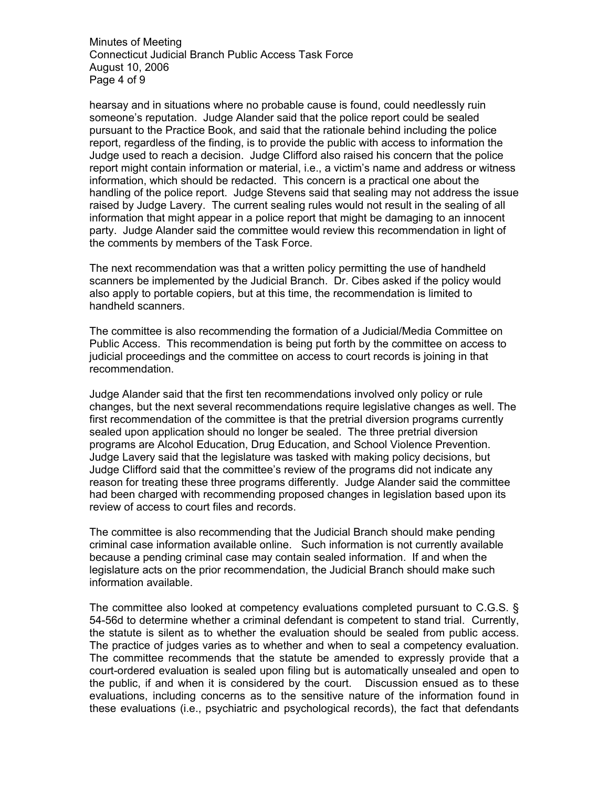Minutes of Meeting Connecticut Judicial Branch Public Access Task Force August 10, 2006 Page 4 of 9

hearsay and in situations where no probable cause is found, could needlessly ruin someone's reputation. Judge Alander said that the police report could be sealed pursuant to the Practice Book, and said that the rationale behind including the police report, regardless of the finding, is to provide the public with access to information the Judge used to reach a decision. Judge Clifford also raised his concern that the police report might contain information or material, i.e., a victim's name and address or witness information, which should be redacted. This concern is a practical one about the handling of the police report. Judge Stevens said that sealing may not address the issue raised by Judge Lavery. The current sealing rules would not result in the sealing of all information that might appear in a police report that might be damaging to an innocent party. Judge Alander said the committee would review this recommendation in light of the comments by members of the Task Force.

The next recommendation was that a written policy permitting the use of handheld scanners be implemented by the Judicial Branch. Dr. Cibes asked if the policy would also apply to portable copiers, but at this time, the recommendation is limited to handheld scanners.

The committee is also recommending the formation of a Judicial/Media Committee on Public Access. This recommendation is being put forth by the committee on access to judicial proceedings and the committee on access to court records is joining in that recommendation.

Judge Alander said that the first ten recommendations involved only policy or rule changes, but the next several recommendations require legislative changes as well. The first recommendation of the committee is that the pretrial diversion programs currently sealed upon application should no longer be sealed. The three pretrial diversion programs are Alcohol Education, Drug Education, and School Violence Prevention. Judge Lavery said that the legislature was tasked with making policy decisions, but Judge Clifford said that the committee's review of the programs did not indicate any reason for treating these three programs differently. Judge Alander said the committee had been charged with recommending proposed changes in legislation based upon its review of access to court files and records.

The committee is also recommending that the Judicial Branch should make pending criminal case information available online. Such information is not currently available because a pending criminal case may contain sealed information. If and when the legislature acts on the prior recommendation, the Judicial Branch should make such information available.

The committee also looked at competency evaluations completed pursuant to C.G.S. § 54-56d to determine whether a criminal defendant is competent to stand trial. Currently, the statute is silent as to whether the evaluation should be sealed from public access. The practice of judges varies as to whether and when to seal a competency evaluation. The committee recommends that the statute be amended to expressly provide that a court-ordered evaluation is sealed upon filing but is automatically unsealed and open to the public, if and when it is considered by the court. Discussion ensued as to these evaluations, including concerns as to the sensitive nature of the information found in these evaluations (i.e., psychiatric and psychological records), the fact that defendants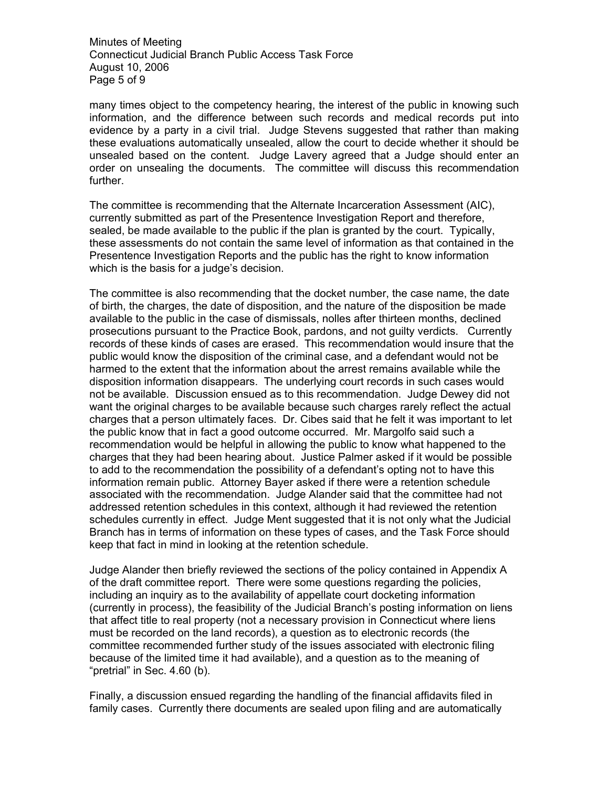Minutes of Meeting Connecticut Judicial Branch Public Access Task Force August 10, 2006 Page 5 of 9

many times object to the competency hearing, the interest of the public in knowing such information, and the difference between such records and medical records put into evidence by a party in a civil trial. Judge Stevens suggested that rather than making these evaluations automatically unsealed, allow the court to decide whether it should be unsealed based on the content. Judge Lavery agreed that a Judge should enter an order on unsealing the documents. The committee will discuss this recommendation further.

The committee is recommending that the Alternate Incarceration Assessment (AIC), currently submitted as part of the Presentence Investigation Report and therefore, sealed, be made available to the public if the plan is granted by the court. Typically, these assessments do not contain the same level of information as that contained in the Presentence Investigation Reports and the public has the right to know information which is the basis for a judge's decision.

The committee is also recommending that the docket number, the case name, the date of birth, the charges, the date of disposition, and the nature of the disposition be made available to the public in the case of dismissals, nolles after thirteen months, declined prosecutions pursuant to the Practice Book, pardons, and not guilty verdicts. Currently records of these kinds of cases are erased. This recommendation would insure that the public would know the disposition of the criminal case, and a defendant would not be harmed to the extent that the information about the arrest remains available while the disposition information disappears. The underlying court records in such cases would not be available. Discussion ensued as to this recommendation. Judge Dewey did not want the original charges to be available because such charges rarely reflect the actual charges that a person ultimately faces. Dr. Cibes said that he felt it was important to let the public know that in fact a good outcome occurred. Mr. Margolfo said such a recommendation would be helpful in allowing the public to know what happened to the charges that they had been hearing about. Justice Palmer asked if it would be possible to add to the recommendation the possibility of a defendant's opting not to have this information remain public. Attorney Bayer asked if there were a retention schedule associated with the recommendation. Judge Alander said that the committee had not addressed retention schedules in this context, although it had reviewed the retention schedules currently in effect. Judge Ment suggested that it is not only what the Judicial Branch has in terms of information on these types of cases, and the Task Force should keep that fact in mind in looking at the retention schedule.

Judge Alander then briefly reviewed the sections of the policy contained in Appendix A of the draft committee report. There were some questions regarding the policies, including an inquiry as to the availability of appellate court docketing information (currently in process), the feasibility of the Judicial Branch's posting information on liens that affect title to real property (not a necessary provision in Connecticut where liens must be recorded on the land records), a question as to electronic records (the committee recommended further study of the issues associated with electronic filing because of the limited time it had available), and a question as to the meaning of "pretrial" in Sec. 4.60 (b).

Finally, a discussion ensued regarding the handling of the financial affidavits filed in family cases. Currently there documents are sealed upon filing and are automatically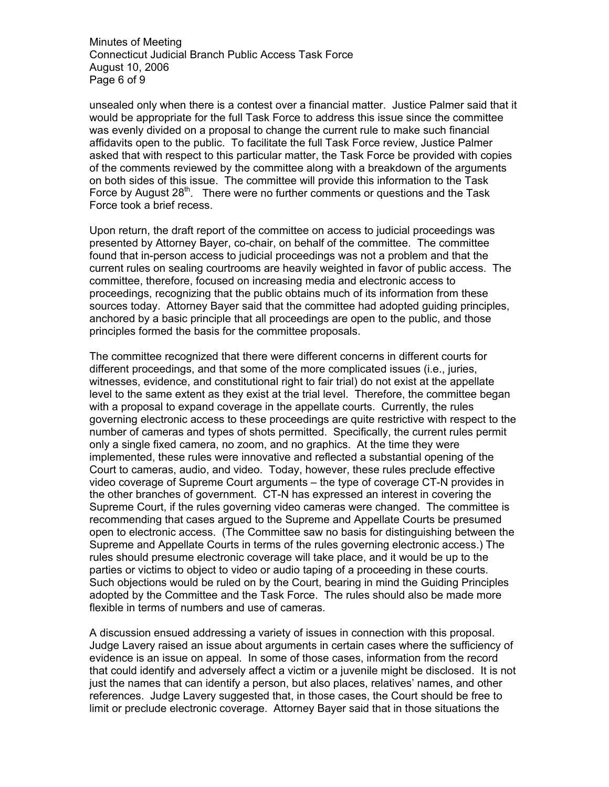Minutes of Meeting Connecticut Judicial Branch Public Access Task Force August 10, 2006 Page 6 of 9

unsealed only when there is a contest over a financial matter. Justice Palmer said that it would be appropriate for the full Task Force to address this issue since the committee was evenly divided on a proposal to change the current rule to make such financial affidavits open to the public. To facilitate the full Task Force review, Justice Palmer asked that with respect to this particular matter, the Task Force be provided with copies of the comments reviewed by the committee along with a breakdown of the arguments on both sides of this issue. The committee will provide this information to the Task Force by August  $28<sup>th</sup>$ . There were no further comments or questions and the Task Force took a brief recess.

Upon return, the draft report of the committee on access to judicial proceedings was presented by Attorney Bayer, co-chair, on behalf of the committee. The committee found that in-person access to judicial proceedings was not a problem and that the current rules on sealing courtrooms are heavily weighted in favor of public access. The committee, therefore, focused on increasing media and electronic access to proceedings, recognizing that the public obtains much of its information from these sources today. Attorney Bayer said that the committee had adopted guiding principles, anchored by a basic principle that all proceedings are open to the public, and those principles formed the basis for the committee proposals.

The committee recognized that there were different concerns in different courts for different proceedings, and that some of the more complicated issues (i.e., juries, witnesses, evidence, and constitutional right to fair trial) do not exist at the appellate level to the same extent as they exist at the trial level. Therefore, the committee began with a proposal to expand coverage in the appellate courts. Currently, the rules governing electronic access to these proceedings are quite restrictive with respect to the number of cameras and types of shots permitted. Specifically, the current rules permit only a single fixed camera, no zoom, and no graphics. At the time they were implemented, these rules were innovative and reflected a substantial opening of the Court to cameras, audio, and video. Today, however, these rules preclude effective video coverage of Supreme Court arguments – the type of coverage CT-N provides in the other branches of government. CT-N has expressed an interest in covering the Supreme Court, if the rules governing video cameras were changed. The committee is recommending that cases argued to the Supreme and Appellate Courts be presumed open to electronic access. (The Committee saw no basis for distinguishing between the Supreme and Appellate Courts in terms of the rules governing electronic access.) The rules should presume electronic coverage will take place, and it would be up to the parties or victims to object to video or audio taping of a proceeding in these courts. Such objections would be ruled on by the Court, bearing in mind the Guiding Principles adopted by the Committee and the Task Force. The rules should also be made more flexible in terms of numbers and use of cameras.

A discussion ensued addressing a variety of issues in connection with this proposal. Judge Lavery raised an issue about arguments in certain cases where the sufficiency of evidence is an issue on appeal. In some of those cases, information from the record that could identify and adversely affect a victim or a juvenile might be disclosed. It is not just the names that can identify a person, but also places, relatives' names, and other references. Judge Lavery suggested that, in those cases, the Court should be free to limit or preclude electronic coverage. Attorney Bayer said that in those situations the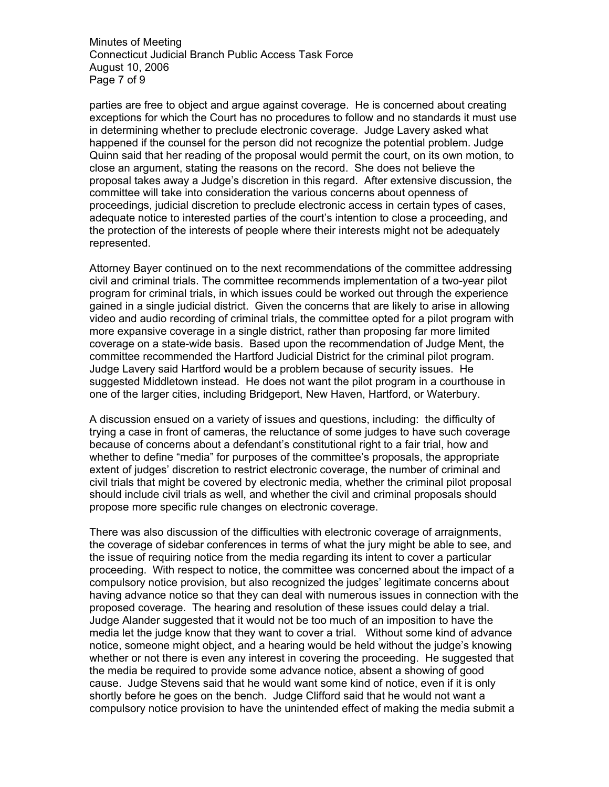Minutes of Meeting Connecticut Judicial Branch Public Access Task Force August 10, 2006 Page 7 of 9

parties are free to object and argue against coverage. He is concerned about creating exceptions for which the Court has no procedures to follow and no standards it must use in determining whether to preclude electronic coverage. Judge Lavery asked what happened if the counsel for the person did not recognize the potential problem. Judge Quinn said that her reading of the proposal would permit the court, on its own motion, to close an argument, stating the reasons on the record. She does not believe the proposal takes away a Judge's discretion in this regard. After extensive discussion, the committee will take into consideration the various concerns about openness of proceedings, judicial discretion to preclude electronic access in certain types of cases, adequate notice to interested parties of the court's intention to close a proceeding, and the protection of the interests of people where their interests might not be adequately represented.

Attorney Bayer continued on to the next recommendations of the committee addressing civil and criminal trials. The committee recommends implementation of a two-year pilot program for criminal trials, in which issues could be worked out through the experience gained in a single judicial district. Given the concerns that are likely to arise in allowing video and audio recording of criminal trials, the committee opted for a pilot program with more expansive coverage in a single district, rather than proposing far more limited coverage on a state-wide basis. Based upon the recommendation of Judge Ment, the committee recommended the Hartford Judicial District for the criminal pilot program. Judge Lavery said Hartford would be a problem because of security issues. He suggested Middletown instead. He does not want the pilot program in a courthouse in one of the larger cities, including Bridgeport, New Haven, Hartford, or Waterbury.

A discussion ensued on a variety of issues and questions, including: the difficulty of trying a case in front of cameras, the reluctance of some judges to have such coverage because of concerns about a defendant's constitutional right to a fair trial, how and whether to define "media" for purposes of the committee's proposals, the appropriate extent of judges' discretion to restrict electronic coverage, the number of criminal and civil trials that might be covered by electronic media, whether the criminal pilot proposal should include civil trials as well, and whether the civil and criminal proposals should propose more specific rule changes on electronic coverage.

There was also discussion of the difficulties with electronic coverage of arraignments, the coverage of sidebar conferences in terms of what the jury might be able to see, and the issue of requiring notice from the media regarding its intent to cover a particular proceeding. With respect to notice, the committee was concerned about the impact of a compulsory notice provision, but also recognized the judges' legitimate concerns about having advance notice so that they can deal with numerous issues in connection with the proposed coverage. The hearing and resolution of these issues could delay a trial. Judge Alander suggested that it would not be too much of an imposition to have the media let the judge know that they want to cover a trial. Without some kind of advance notice, someone might object, and a hearing would be held without the judge's knowing whether or not there is even any interest in covering the proceeding. He suggested that the media be required to provide some advance notice, absent a showing of good cause. Judge Stevens said that he would want some kind of notice, even if it is only shortly before he goes on the bench. Judge Clifford said that he would not want a compulsory notice provision to have the unintended effect of making the media submit a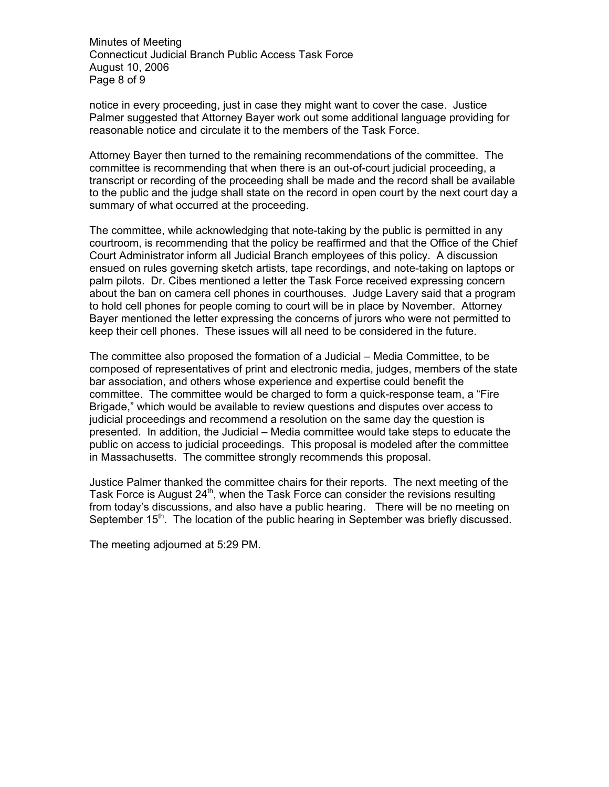Minutes of Meeting Connecticut Judicial Branch Public Access Task Force August 10, 2006 Page 8 of 9

notice in every proceeding, just in case they might want to cover the case. Justice Palmer suggested that Attorney Bayer work out some additional language providing for reasonable notice and circulate it to the members of the Task Force.

Attorney Bayer then turned to the remaining recommendations of the committee. The committee is recommending that when there is an out-of-court judicial proceeding, a transcript or recording of the proceeding shall be made and the record shall be available to the public and the judge shall state on the record in open court by the next court day a summary of what occurred at the proceeding.

The committee, while acknowledging that note-taking by the public is permitted in any courtroom, is recommending that the policy be reaffirmed and that the Office of the Chief Court Administrator inform all Judicial Branch employees of this policy. A discussion ensued on rules governing sketch artists, tape recordings, and note-taking on laptops or palm pilots. Dr. Cibes mentioned a letter the Task Force received expressing concern about the ban on camera cell phones in courthouses. Judge Lavery said that a program to hold cell phones for people coming to court will be in place by November. Attorney Bayer mentioned the letter expressing the concerns of jurors who were not permitted to keep their cell phones. These issues will all need to be considered in the future.

The committee also proposed the formation of a Judicial – Media Committee, to be composed of representatives of print and electronic media, judges, members of the state bar association, and others whose experience and expertise could benefit the committee. The committee would be charged to form a quick-response team, a "Fire Brigade," which would be available to review questions and disputes over access to judicial proceedings and recommend a resolution on the same day the question is presented. In addition, the Judicial – Media committee would take steps to educate the public on access to judicial proceedings. This proposal is modeled after the committee in Massachusetts. The committee strongly recommends this proposal.

Justice Palmer thanked the committee chairs for their reports. The next meeting of the Task Force is August  $24<sup>th</sup>$ , when the Task Force can consider the revisions resulting from today's discussions, and also have a public hearing. There will be no meeting on September 15<sup>th</sup>. The location of the public hearing in September was briefly discussed.

The meeting adjourned at 5:29 PM.